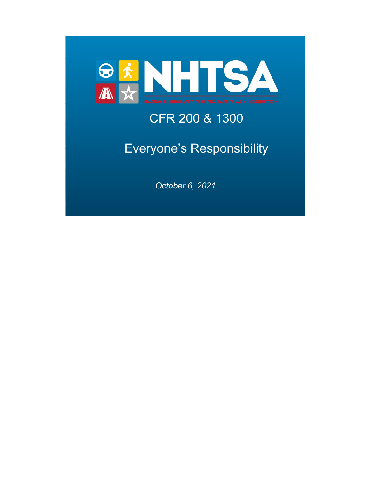

## CFR 200 & 1300

## Everyone's Responsibility

*October 6, 2021*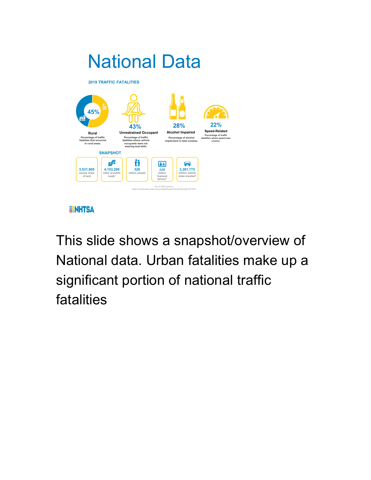

**BENHTSA** 

This slide shows a snapshot/overview of National data. Urban fatalities make up a significant portion of national traffic fatalities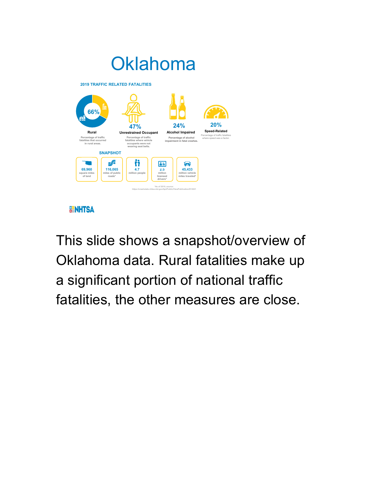

**BENHTSA** 

This slide shows a snapshot/overview of Oklahoma data. Rural fatalities make up a significant portion of national traffic fatalities, the other measures are close.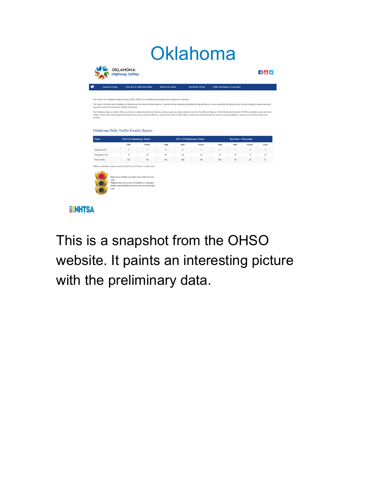# **Oklahoma**

|                                                                                                                                                                                                                                                                                         |                                                        |        | <b>Motorcycle Safety</b> |         | <b>Distracted Driving</b> | <b>Public Information &amp; Education</b> |      |              |               |
|-----------------------------------------------------------------------------------------------------------------------------------------------------------------------------------------------------------------------------------------------------------------------------------------|--------------------------------------------------------|--------|--------------------------|---------|---------------------------|-------------------------------------------|------|--------------|---------------|
| The vision of the Oklahoma Highway Safety Office (OHSO) is to establish and maintain safe roadways for everyone.                                                                                                                                                                        |                                                        |        |                          |         |                           |                                           |      |              |               |
| The majority of motor vehicle fatalities in Oklahoma are the result of driver behavior. Impaired driving, speeding, distracted driving and failure to wear a seat belt are behaviors that can be changed through awareness,<br>education and strict enforcement of traffic safety laws. |                                                        |        |                          |         |                           |                                           |      |              |               |
| The Oklahoma Highway Safety Office coordinates a statewide behavioral highway safety program by making federal funds from the National Highway Traffic Safety Administration (NHTSA) available to state and local                                                                       |                                                        |        |                          |         |                           |                                           |      |              |               |
| entities. These dollars fund programs that help these groups enforce traffic laws, educate the public in traffic safety, and provide varied and effective means of reducing fatalities, injuries and economic losses from                                                               |                                                        |        |                          |         |                           |                                           |      |              |               |
| crashes.                                                                                                                                                                                                                                                                                |                                                        |        |                          |         |                           |                                           |      |              |               |
|                                                                                                                                                                                                                                                                                         |                                                        |        |                          |         |                           |                                           |      |              |               |
|                                                                                                                                                                                                                                                                                         |                                                        |        |                          |         |                           |                                           |      |              |               |
|                                                                                                                                                                                                                                                                                         |                                                        |        |                          |         |                           |                                           |      |              |               |
| Oklahoma Daily Traffic Fatality Report                                                                                                                                                                                                                                                  |                                                        |        |                          |         |                           |                                           |      |              |               |
|                                                                                                                                                                                                                                                                                         |                                                        |        |                          |         |                           |                                           |      |              |               |
|                                                                                                                                                                                                                                                                                         |                                                        |        | 2021 (Preliminary Data)  |         |                           | <b>Increase / Decrease</b>                |      |              |               |
|                                                                                                                                                                                                                                                                                         | 2020 (Preliminary Data)                                |        |                          |         |                           |                                           |      |              |               |
|                                                                                                                                                                                                                                                                                         | OHP                                                    | Police | Total                    | OHP     | Police                    | Total                                     | OHP  | Police       |               |
|                                                                                                                                                                                                                                                                                         | 1                                                      | 1      | $\overline{2}$           | $\circ$ | $\mathbf{1}$              | $\mathbf{1}$                              | $-1$ | $\mathbf{0}$ | Total<br>$-1$ |
| Date<br>September 30<br>September 1-30                                                                                                                                                                                                                                                  | 37                                                     | 18     | 55                       | 55      | 15                        | 70                                        | 18   | $-3$         | 15            |
| Year-to-date                                                                                                                                                                                                                                                                            | 333                                                    | 108    | 441                      | 368     | 134                       | 502                                       | 35   | 26           | 61            |
|                                                                                                                                                                                                                                                                                         |                                                        |        |                          |         |                           |                                           |      |              |               |
|                                                                                                                                                                                                                                                                                         |                                                        |        |                          |         |                           |                                           |      |              |               |
|                                                                                                                                                                                                                                                                                         |                                                        |        |                          |         |                           |                                           |      |              |               |
|                                                                                                                                                                                                                                                                                         |                                                        |        |                          |         |                           |                                           |      |              |               |
|                                                                                                                                                                                                                                                                                         | Red means fatalities are higher than at this time last |        |                          |         |                           |                                           |      |              |               |
| Reflects preliminary reports received by DPS as of October 1 of each year.<br>year:                                                                                                                                                                                                     | Yellow means the number of fatalities is unchanged.    |        |                          |         |                           |                                           |      |              |               |

**BENHTSA** 

This is a snapshot from the OHSO website. It paints an interesting picture with the preliminary data.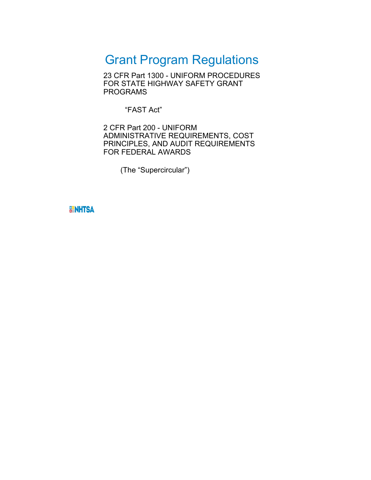### Grant Program Regulations

23 CFR Part 1300 - UNIFORM PROCEDURES FOR STATE HIGHWAY SAFETY GRANT PROGRAMS

"FAST Act"

2 CFR Part 200 - UNIFORM ADMINISTRATIVE REQUIREMENTS, COST PRINCIPLES, AND AUDIT REQUIREMENTS FOR FEDERAL AWARDS

(The "Supercircular")

**BENHTSA**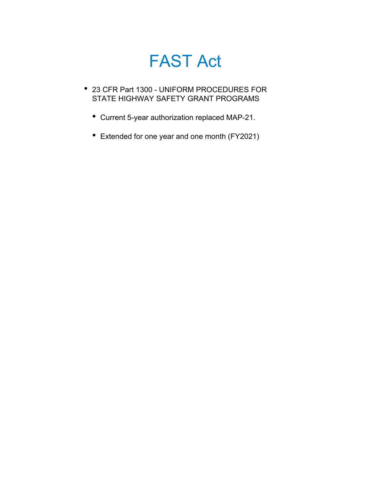## FAST Act

- 23 CFR Part 1300 UNIFORM PROCEDURES FOR STATE HIGHWAY SAFETY GRANT PROGRAMS
	- Current 5-year authorization replaced MAP-21.
	- Extended for one year and one month (FY2021)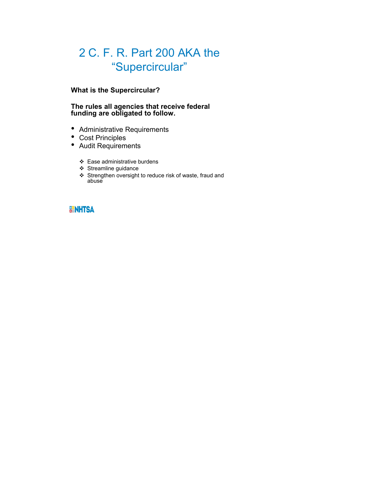### 2 C. F. R. Part 200 AKA the "Supercircular"

#### **What is the Supercircular?**

#### **The rules all agencies that receive federal funding are obligated to follow.**

- Administrative Requirements
- Cost Principles
- Audit Requirements
	- Ease administrative burdens
	- Streamline guidance
	- Strengthen oversight to reduce risk of waste, fraud and abuse

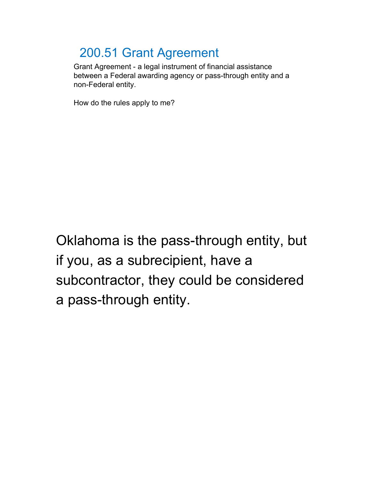### 200.51 Grant Agreement

Grant Agreement - a legal instrument of financial assistance between a Federal awarding agency or pass-through entity and a non-Federal entity.

How do the rules apply to me?

Oklahoma is the pass-through entity, but if you, as a subrecipient, have a subcontractor, they could be considered a pass-through entity.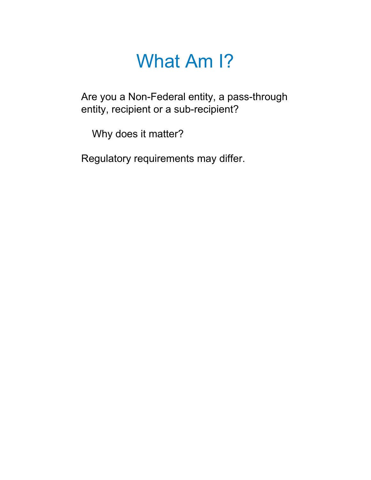Are you a Non-Federal entity, a pass-through entity, recipient or a sub-recipient?

Why does it matter?

Regulatory requirements may differ.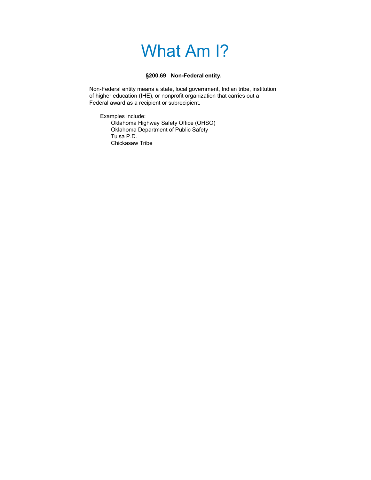#### **§200.69 Non-Federal entity.**

Non-Federal entity means a state, local government, Indian tribe, institution of higher education (IHE), or nonprofit organization that carries out a Federal award as a recipient or subrecipient.

Examples include: Oklahoma Highway Safety Office (OHSO) Oklahoma Department of Public Safety Tulsa P.D. Chickasaw Tribe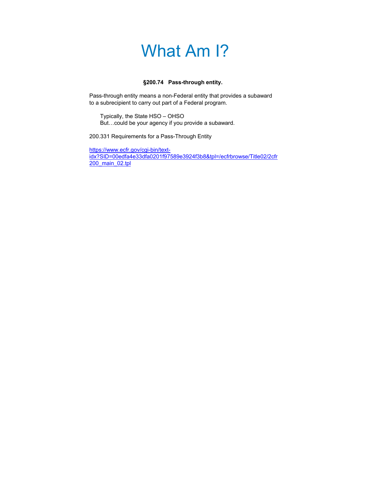#### **§200.74 Pass-through entity.**

Pass-through entity means a non-Federal entity that provides a subaward to a subrecipient to carry out part of a Federal program.

Typically, the State HSO – OHSO But…could be your agency if you provide a subaward.

200.331 Requirements for a Pass-Through Entity

https://www.ecfr.gov/cgi-bin/textidx?SID=00edfa4e33dfa0201f97589e3924f3b8&tpl=/ecfrbrowse/Title02/2cfr 200\_main\_02.tpl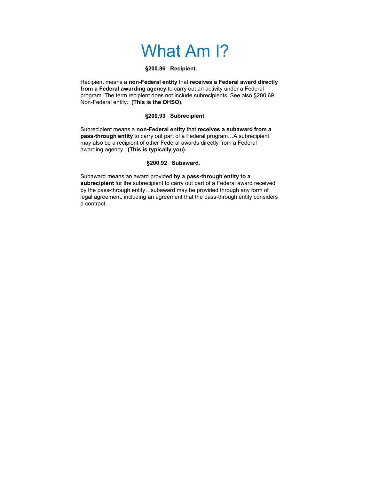#### **§200.86 Recipient.**

Recipient means a **non-Federal entity** that **receives a Federal award directly from a Federal awarding agency** to carry out an activity under a Federal program. The term recipient does not include subrecipients. See also §200.69 Non-Federal entity. **(This is the OHSO).**

#### **§200.93 Subrecipient**.

Subrecipient means a **non-Federal entity** that **receives a subaward from a pass-through entity** to carry out part of a Federal program…A subrecipient may also be a recipient of other Federal awards directly from a Federal awarding agency. **(This is typically you).**

#### **§200.92 Subaward.**

Subaward means an award provided **by a pass-through entity to a subrecipient** for the subrecipient to carry out part of a Federal award received by the pass-through entity…subaward may be provided through any form of legal agreement, including an agreement that the pass-through entity considers a contract.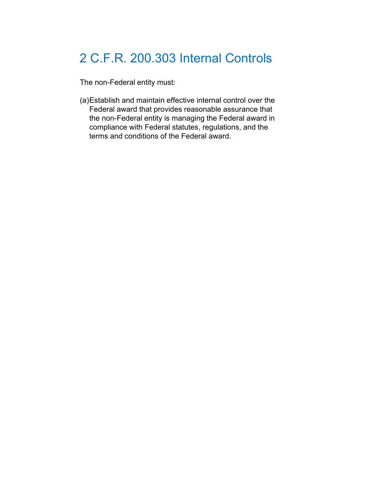### 2 C.F.R. 200.303 Internal Controls

The non-Federal entity must:

(a)Establish and maintain effective internal control over the Federal award that provides reasonable assurance that the non-Federal entity is managing the Federal award in compliance with Federal statutes, regulations, and the terms and conditions of the Federal award.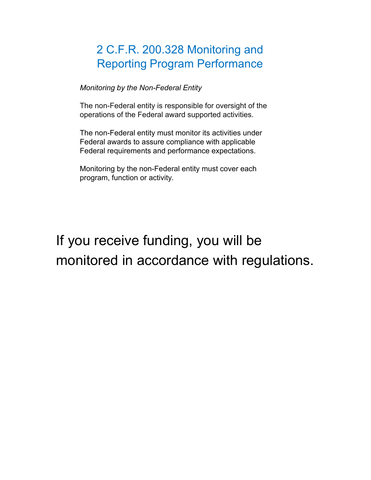### 2 C.F.R. 200.328 Monitoring and Reporting Program Performance

*Monitoring by the Non-Federal Entity*

The non-Federal entity is responsible for oversight of the operations of the Federal award supported activities.

The non-Federal entity must monitor its activities under Federal awards to assure compliance with applicable Federal requirements and performance expectations.

Monitoring by the non-Federal entity must cover each program, function or activity*.*

## If you receive funding, you will be monitored in accordance with regulations.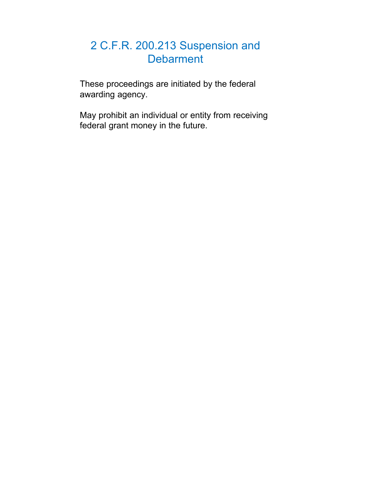#### 2 C.F.R. 200.213 Suspension and **Debarment**

These proceedings are initiated by the federal awarding agency.

May prohibit an individual or entity from receiving federal grant money in the future.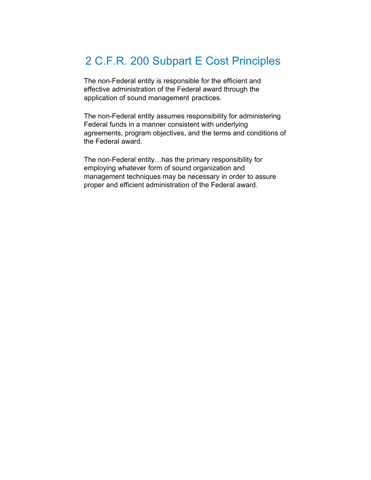### 2 C.F.R. 200 Subpart E Cost Principles

The non-Federal entity is responsible for the efficient and effective administration of the Federal award through the application of sound management practices.

The non-Federal entity assumes responsibility for administering Federal funds in a manner consistent with underlying agreements, program objectives, and the terms and conditions of the Federal award.

The non-Federal entity…has the primary responsibility for employing whatever form of sound organization and management techniques may be necessary in order to assure proper and efficient administration of the Federal award.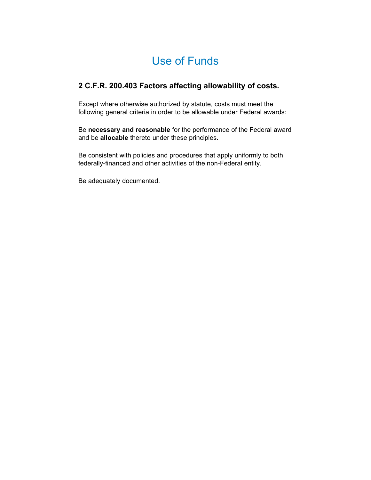### Use of Funds

#### **2 C.F.R. 200.403 Factors affecting allowability of costs.**

Except where otherwise authorized by statute, costs must meet the following general criteria in order to be allowable under Federal awards:

Be **necessary and reasonable** for the performance of the Federal award and be **allocable** thereto under these principles.

Be consistent with policies and procedures that apply uniformly to both federally-financed and other activities of the non-Federal entity.

Be adequately documented.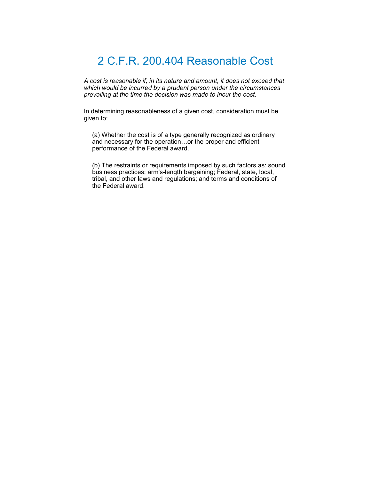#### 2 C.F.R. 200.404 Reasonable Cost

*A cost is reasonable if, in its nature and amount, it does not exceed that which would be incurred by a prudent person under the circumstances prevailing at the time the decision was made to incur the cost.*

In determining reasonableness of a given cost, consideration must be given to:

(a) Whether the cost is of a type generally recognized as ordinary and necessary for the operation…or the proper and efficient performance of the Federal award.

(b) The restraints or requirements imposed by such factors as: sound business practices; arm's-length bargaining; Federal, state, local, tribal, and other laws and regulations; and terms and conditions of the Federal award.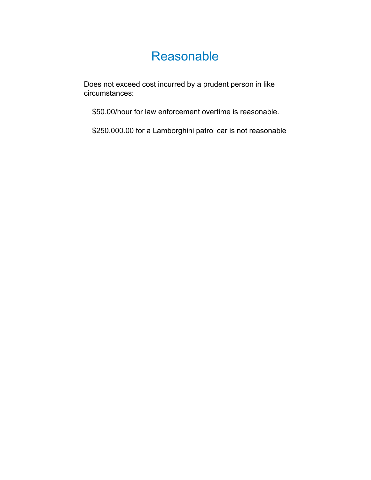### Reasonable

Does not exceed cost incurred by a prudent person in like circumstances:

\$50.00/hour for law enforcement overtime is reasonable.

\$250,000.00 for a Lamborghini patrol car is not reasonable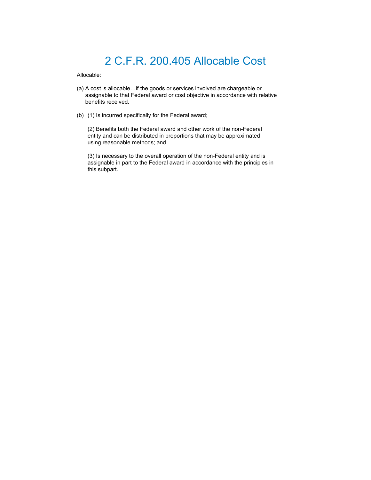### 2 C.F.R. 200.405 Allocable Cost

Allocable:

- (a) A cost is allocable…if the goods or services involved are chargeable or assignable to that Federal award or cost objective in accordance with relative benefits received.
- (b) (1) Is incurred specifically for the Federal award;

(2) Benefits both the Federal award and other work of the non-Federal entity and can be distributed in proportions that may be approximated using reasonable methods; and

(3) Is necessary to the overall operation of the non-Federal entity and is assignable in part to the Federal award in accordance with the principles in this subpart.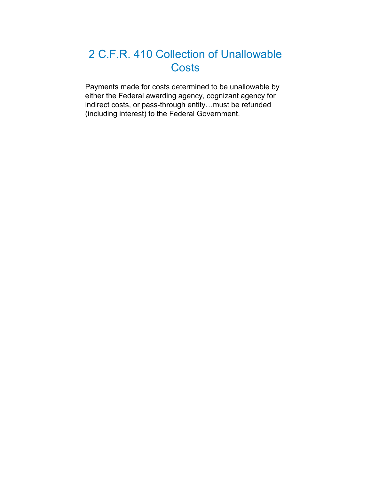### 2 C.F.R. 410 Collection of Unallowable **Costs**

Payments made for costs determined to be unallowable by either the Federal awarding agency, cognizant agency for indirect costs, or pass-through entity…must be refunded (including interest) to the Federal Government.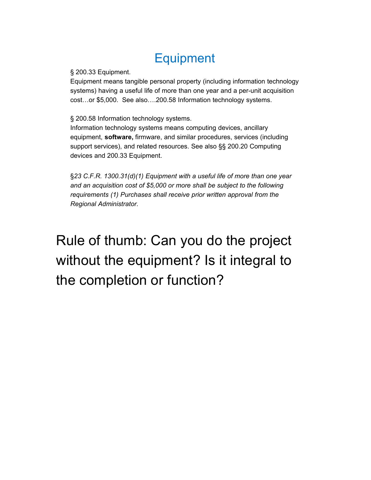### **Equipment**

§ 200.33 Equipment.

Equipment means tangible personal property (including information technology systems) having a useful life of more than one year and a per-unit acquisition cost…or \$5,000. See also….200.58 Information technology systems.

§ 200.58 Information technology systems.

Information technology systems means computing devices, ancillary equipment, **software,** firmware, and similar procedures, services (including support services), and related resources. See also §§ 200.20 Computing devices and 200.33 Equipment.

§*23 C.F.R. 1300.31(d)(1) Equipment with a useful life of more than one year and an acquisition cost of \$5,000 or more shall be subject to the following requirements (1) Purchases shall receive prior written approval from the Regional Administrator.*

## Rule of thumb: Can you do the project without the equipment? Is it integral to the completion or function?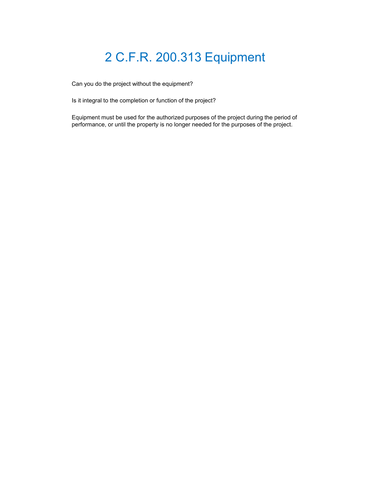### 2 C.F.R. 200.313 Equipment

Can you do the project without the equipment?

Is it integral to the completion or function of the project?

Equipment must be used for the authorized purposes of the project during the period of performance, or until the property is no longer needed for the purposes of the project.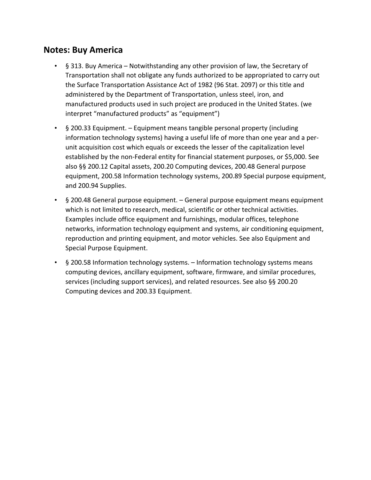#### **Notes: Buy America**

- § 313. Buy America Notwithstanding any other provision of law, the Secretary of Transportation shall not obligate any funds authorized to be appropriated to carry out the Surface Transportation Assistance Act of 1982 (96 Stat. 2097) or this title and administered by the Department of Transportation, unless steel, iron, and manufactured products used in such project are produced in the United States. (we interpret "manufactured products" as "equipment")
- § 200.33 Equipment. Equipment means tangible personal property (including information technology systems) having a useful life of more than one year and a per‐ unit acquisition cost which equals or exceeds the lesser of the capitalization level established by the non‐Federal entity for financial statement purposes, or \$5,000. See also §§ 200.12 Capital assets, 200.20 Computing devices, 200.48 General purpose equipment, 200.58 Information technology systems, 200.89 Special purpose equipment, and 200.94 Supplies.
- § 200.48 General purpose equipment. General purpose equipment means equipment which is not limited to research, medical, scientific or other technical activities. Examples include office equipment and furnishings, modular offices, telephone networks, information technology equipment and systems, air conditioning equipment, reproduction and printing equipment, and motor vehicles. See also Equipment and Special Purpose Equipment.
- § 200.58 Information technology systems. Information technology systems means computing devices, ancillary equipment, software, firmware, and similar procedures, services (including support services), and related resources. See also §§ 200.20 Computing devices and 200.33 Equipment.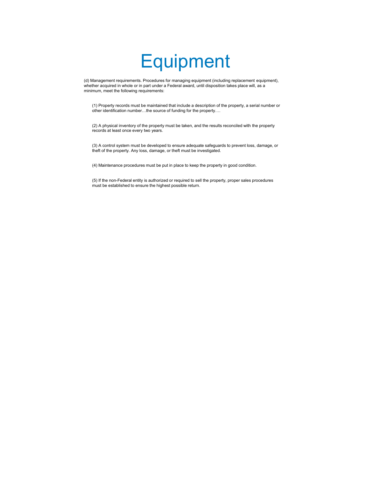# **Equipment**

(d) Management requirements. Procedures for managing equipment (including replacement equipment), whether acquired in whole or in part under a Federal award, until disposition takes place will, as a minimum, meet the following requirements:

(1) Property records must be maintained that include a description of the property, a serial number or other identification number…the source of funding for the property….

(2) A physical inventory of the property must be taken, and the results reconciled with the property records at least once every two years.

(3) A control system must be developed to ensure adequate safeguards to prevent loss, damage, or theft of the property. Any loss, damage, or theft must be investigated.

(4) Maintenance procedures must be put in place to keep the property in good condition.

(5) If the non-Federal entity is authorized or required to sell the property, proper sales procedures must be established to ensure the highest possible return.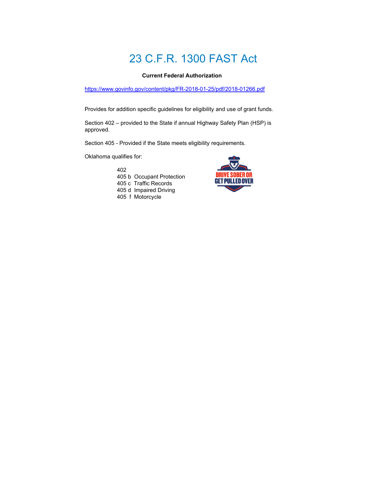### 23 C.F.R. 1300 FAST Act

#### **Current Federal Authorization**

https://www.govinfo.gov/content/pkg/FR-2018-01-25/pdf/2018-01266.pdf

Provides for addition specific guidelines for eligibility and use of grant funds.

Section 402 – provided to the State if annual Highway Safety Plan (HSP) is approved.

Section 405 - Provided if the State meets eligibility requirements.

Oklahoma qualifies for:

402 405 b Occupant Protection 405 c Traffic Records 405 d Impaired Driving 405 f Motorcycle

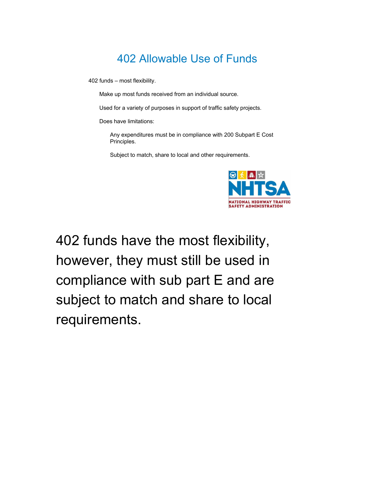402 funds – most flexibility.

Make up most funds received from an individual source.

Used for a variety of purposes in support of traffic safety projects.

Does have limitations:

Any expenditures must be in compliance with 200 Subpart E Cost Principles.

Subject to match, share to local and other requirements.



402 funds have the most flexibility, however, they must still be used in compliance with sub part E and are subject to match and share to local requirements.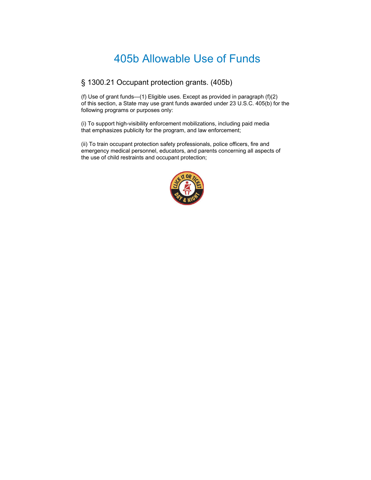#### § 1300.21 Occupant protection grants. (405b)

(f) Use of grant funds—(1) Eligible uses. Except as provided in paragraph (f)(2) of this section, a State may use grant funds awarded under 23 U.S.C. 405(b) for the following programs or purposes only:

(i) To support high-visibility enforcement mobilizations, including paid media that emphasizes publicity for the program, and law enforcement;

(ii) To train occupant protection safety professionals, police officers, fire and emergency medical personnel, educators, and parents concerning all aspects of the use of child restraints and occupant protection;

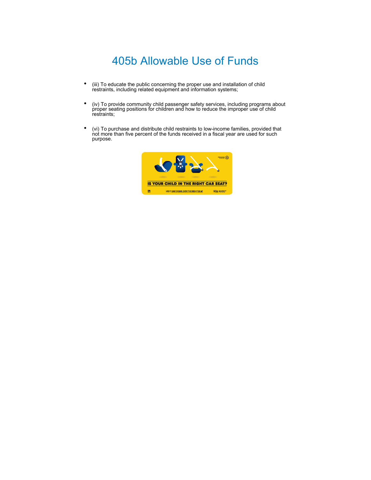- (iii) To educate the public concerning the proper use and installation of child restraints, including related equipment and information systems;
- (iv) To provide community child passenger safety services, including programs about proper seating positions for children and how to reduce the improper use of child restraints;
- (vi) To purchase and distribute child restraints to low-income families, provided that not more than five percent of the funds received in a fiscal year are used for such purpose.

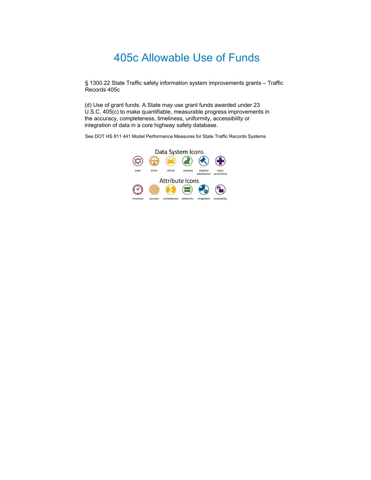§ 1300.22 State Traffic safety information system improvements grants – Traffic Records 405c

(d) Use of grant funds. A State may use grant funds awarded under 23 U.S.C. 405(c) to make quantifiable, measurable progress improvements in the accuracy, completeness, timeliness, uniformity, accessibility or integration of data in a core highway safety database.

See DOT HS 811 441 Model Performance Measures for State Traffic Records Systems

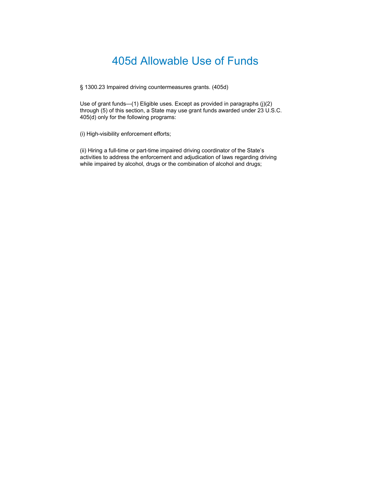§ 1300.23 Impaired driving countermeasures grants. (405d)

Use of grant funds—(1) Eligible uses. Except as provided in paragraphs (j)(2) through (5) of this section, a State may use grant funds awarded under 23 U.S.C. 405(d) only for the following programs:

(i) High-visibility enforcement efforts;

(ii) Hiring a full-time or part-time impaired driving coordinator of the State's activities to address the enforcement and adjudication of laws regarding driving while impaired by alcohol, drugs or the combination of alcohol and drugs;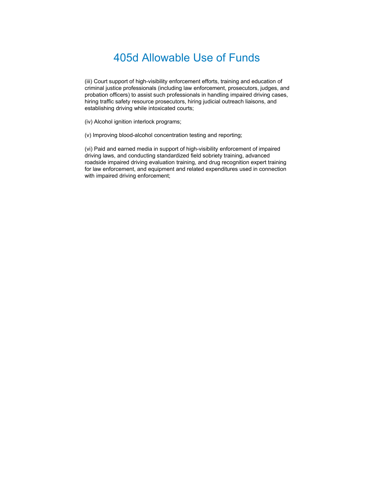(iii) Court support of high-visibility enforcement efforts, training and education of criminal justice professionals (including law enforcement, prosecutors, judges, and probation officers) to assist such professionals in handling impaired driving cases, hiring traffic safety resource prosecutors, hiring judicial outreach liaisons, and establishing driving while intoxicated courts;

(iv) Alcohol ignition interlock programs;

(v) Improving blood-alcohol concentration testing and reporting;

(vi) Paid and earned media in support of high-visibility enforcement of impaired driving laws, and conducting standardized field sobriety training, advanced roadside impaired driving evaluation training, and drug recognition expert training for law enforcement, and equipment and related expenditures used in connection with impaired driving enforcement;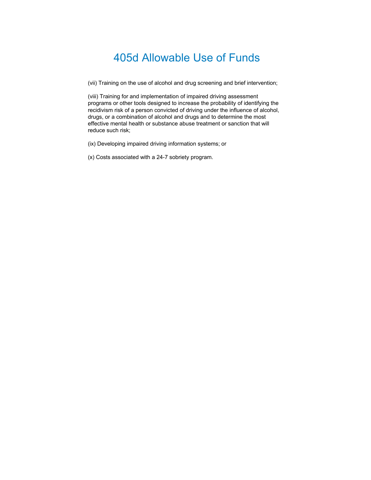(vii) Training on the use of alcohol and drug screening and brief intervention;

(viii) Training for and implementation of impaired driving assessment programs or other tools designed to increase the probability of identifying the recidivism risk of a person convicted of driving under the influence of alcohol, drugs, or a combination of alcohol and drugs and to determine the most effective mental health or substance abuse treatment or sanction that will reduce such risk;

(ix) Developing impaired driving information systems; or

(x) Costs associated with a 24-7 sobriety program.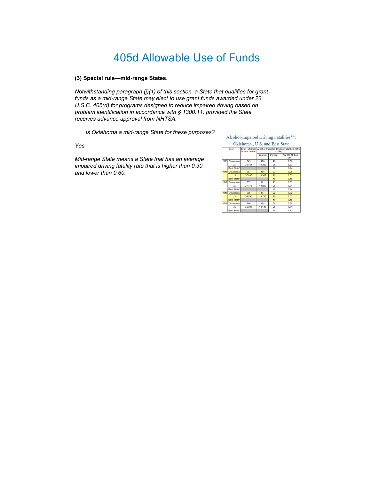#### **(3) Special rule—mid-range States.**

*Notwithstanding paragraph (j)(1) of this section, a State that qualifies for grant funds as a mid-range State may elect to use grant funds awarded under 23 U.S.C. 405(d) for programs designed to reduce impaired driving based on problem identification in accordance with § 1300.11, provided the State receives advance approval from NHTSA.*

*Is Oklahoma a mid-range State for these purposes?*

*Yes –*

*Mid-range State means a State that has an average impaired driving fatality rate that is higher than 0.30 and lower than 0.60.*

Alcohol-Impaired Driving Fatalities\*\*:

#### Oklahoma, U.S. and Best State Total Fatalities Alcohol-Impaired Driving Fatalities (BAC<br>in all Crashes = .08+) Number ercent<sup>1</sup> Per 100 Million 170  $\overline{26}$ 015 Oklahoma 645 0.36 US<br>Best Sta 35,484  $10,280$  $\frac{29}{16}$  $\frac{0.33}{0.14}$ 687<br>37,806 186 27 0.3 US<br>Best State 10,967 29  $0.35$  $\overline{19}$  $\frac{0.16}{0.33}$ Oklahoma<br>US<br>Best State  $\frac{657}{37,473}$  $\frac{161}{10,880}$  $\frac{0.34}{0.14}$ Boot State<br>US<br>Best State 655 147  $0.32$ 36,835 10,710  $0.3$  $\frac{0.33}{0.16}$ <br>0.35<br>0.31  $\frac{1}{19}$ 9 Oklahoma<br>US<br>Best State\*  $\frac{640}{36,096}$  $\frac{154}{10,142}$  $\frac{24}{28}$  $16$  $0.12$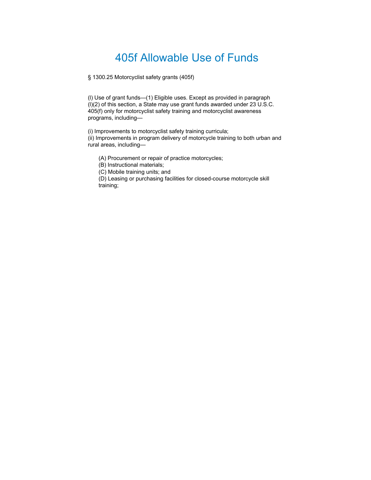§ 1300.25 Motorcyclist safety grants (405f)

(l) Use of grant funds—(1) Eligible uses. Except as provided in paragraph (l)(2) of this section, a State may use grant funds awarded under 23 U.S.C. 405(f) only for motorcyclist safety training and motorcyclist awareness programs, including—

(i) Improvements to motorcyclist safety training curricula;

(ii) Improvements in program delivery of motorcycle training to both urban and rural areas, including—

(A) Procurement or repair of practice motorcycles;

(B) Instructional materials;

(C) Mobile training units; and

(D) Leasing or purchasing facilities for closed-course motorcycle skill training;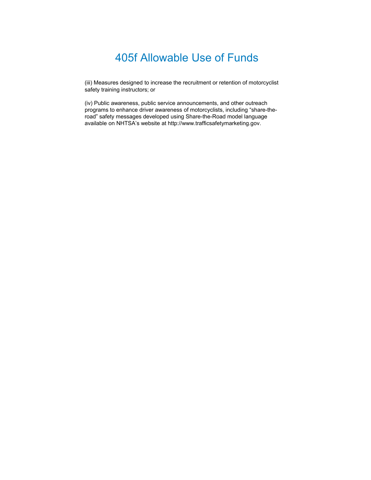(iii) Measures designed to increase the recruitment or retention of motorcyclist safety training instructors; or

(iv) Public awareness, public service announcements, and other outreach programs to enhance driver awareness of motorcyclists, including "share-theroad" safety messages developed using Share-the-Road model language available on NHTSA's website at http://www.trafficsafetymarketing.gov.